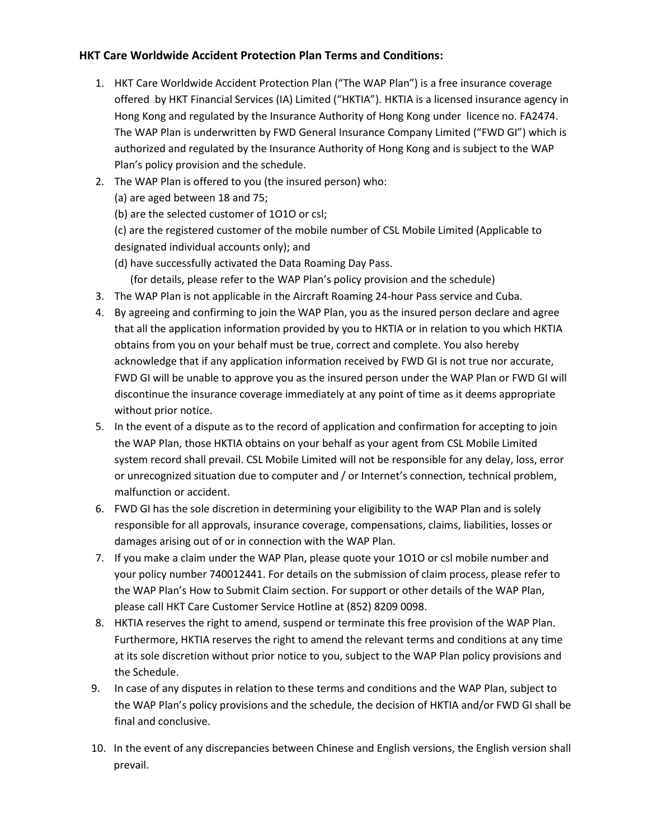## **HKT Care Worldwide Accident Protection Plan Terms and Conditions:**

- 1. HKT Care Worldwide Accident Protection Plan ("The WAP Plan") is a free insurance coverage offered by HKT Financial Services (IA) Limited ("HKTIA"). HKTIA is a licensed insurance agency in Hong Kong and regulated by the Insurance Authority of Hong Kong under licence no. FA2474. The WAP Plan is underwritten by FWD General Insurance Company Limited ("FWD GI") which is authorized and regulated by the Insurance Authority of Hong Kong and is subject to the WAP Plan's policy provision and the schedule.
- 2. The WAP Plan is offered to you (the insured person) who:
	- (a) are aged between 18 and 75;
	- (b) are the selected customer of 1O1O or csl;

(c) are the registered customer of the mobile number of CSL Mobile Limited (Applicable to designated individual accounts only); and

- (d) have successfully activated the Data Roaming Day Pass.
	- (for details, please refer to the WAP Plan's policy provision and the schedule)
- 3. The WAP Plan is not applicable in the Aircraft Roaming 24-hour Pass service and Cuba.
- 4. By agreeing and confirming to join the WAP Plan, you as the insured person declare and agree that all the application information provided by you to HKTIA or in relation to you which HKTIA obtains from you on your behalf must be true, correct and complete. You also hereby acknowledge that if any application information received by FWD GI is not true nor accurate, FWD GI will be unable to approve you as the insured person under the WAP Plan or FWD GI will discontinue the insurance coverage immediately at any point of time as it deems appropriate without prior notice.
- 5. In the event of a dispute as to the record of application and confirmation for accepting to join the WAP Plan, those HKTIA obtains on your behalf as your agent from CSL Mobile Limited system record shall prevail. CSL Mobile Limited will not be responsible for any delay, loss, error or unrecognized situation due to computer and / or Internet's connection, technical problem, malfunction or accident.
- 6. FWD GI has the sole discretion in determining your eligibility to the WAP Plan and is solely responsible for all approvals, insurance coverage, compensations, claims, liabilities, losses or damages arising out of or in connection with the WAP Plan.
- 7. If you make a claim under the WAP Plan, please quote your 1O1O or csl mobile number and your policy number 740012441. For details on the submission of claim process, please refer to the WAP Plan's How to Submit Claim section. For support or other details of the WAP Plan, please call HKT Care Customer Service Hotline at (852) 8209 0098.
- 8. HKTIA reserves the right to amend, suspend or terminate this free provision of the WAP Plan. Furthermore, HKTIA reserves the right to amend the relevant terms and conditions at any time at its sole discretion without prior notice to you, subject to the WAP Plan policy provisions and the Schedule.
- 9. In case of any disputes in relation to these terms and conditions and the WAP Plan, subject to the WAP Plan's policy provisions and the schedule, the decision of HKTIA and/or FWD GI shall be final and conclusive.
- 10. In the event of any discrepancies between Chinese and English versions, the English version shall prevail.